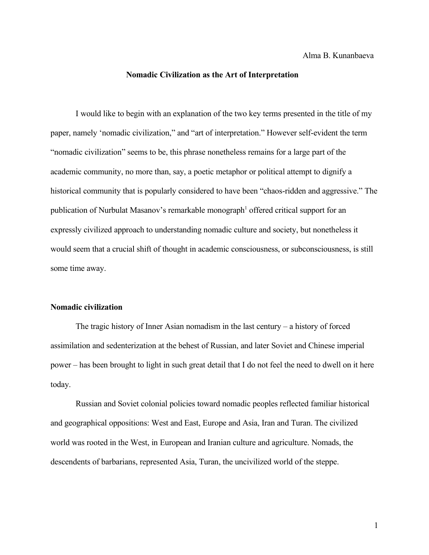Alma B. Kunanbaeva

## **Nomadic Civilization as the Art of Interpretation**

I would like to begin with an explanation of the two key terms presented in the title of my paper, namely 'nomadic civilization," and "art of interpretation." However self-evident the term "nomadic civilization" seems to be, this phrase nonetheless remains for a large part of the academic community, no more than, say, a poetic metaphor or political attempt to dignify a historical community that is popularly considered to have been "chaos-ridden and aggressive." The publication of Nurbulat Masanov's remarkable monograph<sup>[1](#page-9-0)</sup> offered critical support for an expressly civilized approach to understanding nomadic culture and society, but nonetheless it would seem that a crucial shift of thought in academic consciousness, or subconsciousness, is still some time away.

## **Nomadic civilization**

The tragic history of Inner Asian nomadism in the last century – a history of forced assimilation and sedenterization at the behest of Russian, and later Soviet and Chinese imperial power – has been brought to light in such great detail that I do not feel the need to dwell on it here today.

Russian and Soviet colonial policies toward nomadic peoples reflected familiar historical and geographical oppositions: West and East, Europe and Asia, Iran and Turan. The civilized world was rooted in the West, in European and Iranian culture and agriculture. Nomads, the descendents of barbarians, represented Asia, Turan, the uncivilized world of the steppe.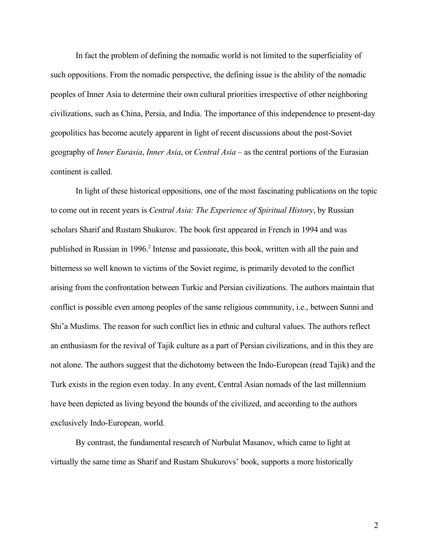In fact the problem of defining the nomadic world is not limited to the superficiality of such oppositions. From the nomadic perspective, the defining issue is the ability of the nomadic peoples of Inner Asia to determine their own cultural priorities irrespective of other neighboring civilizations, such as China, Persia, and India. The importance of this independence to present-day geopolitics has become acutely apparent in light of recent discussions about the post-Soviet geography of *Inner Eurasia*, *Inner Asia*, or *Central Asia* – as the central portions of the Eurasian continent is called.

In light of these historical oppositions, one of the most fascinating publications on the topic to come out in recent years is *Central Asia: The Experience of Spiritual History*, by Russian scholars Sharif and Rustam Shukurov. The book first appeared in French in 1994 and was published in Russian in 1996.<sup>[2](#page-9-1)</sup> Intense and passionate, this book, written with all the pain and bitterness so well known to victims of the Soviet regime, is primarily devoted to the conflict arising from the confrontation between Turkic and Persian civilizations. The authors maintain that conflict is possible even among peoples of the same religious community, i.e., between Sunni and Shi'a Muslims. The reason for such conflict lies in ethnic and cultural values. The authors reflect an enthusiasm for the revival of Tajik culture as a part of Persian civilizations, and in this they are not alone. The authors suggest that the dichotomy between the Indo-European (read Tajik) and the Turk exists in the region even today. In any event, Central Asian nomads of the last millennium have been depicted as living beyond the bounds of the civilized, and according to the authors exclusively Indo-European, world.

By contrast, the fundamental research of Nurbulat Masanov, which came to light at virtually the same time as Sharif and Rustam Shukurovs' book, supports a more historically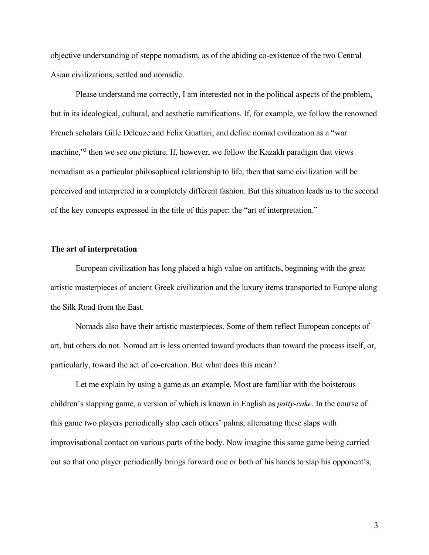objective understanding of steppe nomadism, as of the abiding co-existence of the two Central Asian civilizations, settled and nomadic.

Please understand me correctly, I am interested not in the political aspects of the problem, but in its ideological, cultural, and aesthetic ramifications. If, for example, we follow the renowned French scholars Gille Deleuze and Felix Guattari, and define nomad civilization as a "war machine,"<sup>[3](#page-9-2)</sup> then we see one picture. If, however, we follow the Kazakh paradigm that views nomadism as a particular philosophical relationship to life, then that same civilization will be perceived and interpreted in a completely different fashion. But this situation leads us to the second of the key concepts expressed in the title of this paper: the "art of interpretation."

## **The art of interpretation**

European civilization has long placed a high value on artifacts, beginning with the great artistic masterpieces of ancient Greek civilization and the luxury items transported to Europe along the Silk Road from the East.

Nomads also have their artistic masterpieces. Some of them reflect European concepts of art, but others do not. Nomad art is less oriented toward products than toward the process itself, or, particularly, toward the act of co-creation. But what does this mean?

Let me explain by using a game as an example. Most are familiar with the boisterous children's slapping game, a version of which is known in English as *patty-cake*. In the course of this game two players periodically slap each others' palms, alternating these slaps with improvisational contact on various parts of the body. Now imagine this same game being carried out so that one player periodically brings forward one or both of his hands to slap his opponent's,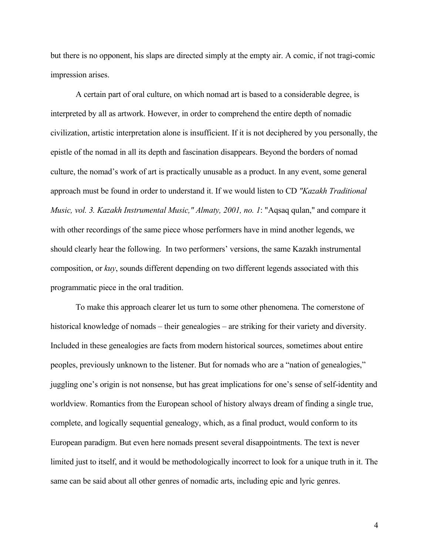but there is no opponent, his slaps are directed simply at the empty air. A comic, if not tragi-comic impression arises.

A certain part of oral culture, on which nomad art is based to a considerable degree, is interpreted by all as artwork. However, in order to comprehend the entire depth of nomadic civilization, artistic interpretation alone is insufficient. If it is not deciphered by you personally, the epistle of the nomad in all its depth and fascination disappears. Beyond the borders of nomad culture, the nomad's work of art is practically unusable as a product. In any event, some general approach must be found in order to understand it. If we would listen to CD *"Kazakh Traditional Music, vol. 3. Kazakh Instrumental Music," Almaty, 2001, no. 1*: "Aqsaq qulan," and compare it with other recordings of the same piece whose performers have in mind another legends, we should clearly hear the following. In two performers' versions, the same Kazakh instrumental composition, or *kuy*, sounds different depending on two different legends associated with this programmatic piece in the oral tradition.

To make this approach clearer let us turn to some other phenomena. The cornerstone of historical knowledge of nomads – their genealogies – are striking for their variety and diversity. Included in these genealogies are facts from modern historical sources, sometimes about entire peoples, previously unknown to the listener. But for nomads who are a "nation of genealogies," juggling one's origin is not nonsense, but has great implications for one's sense of self-identity and worldview. Romantics from the European school of history always dream of finding a single true, complete, and logically sequential genealogy, which, as a final product, would conform to its European paradigm. But even here nomads present several disappointments. The text is never limited just to itself, and it would be methodologically incorrect to look for a unique truth in it. The same can be said about all other genres of nomadic arts, including epic and lyric genres.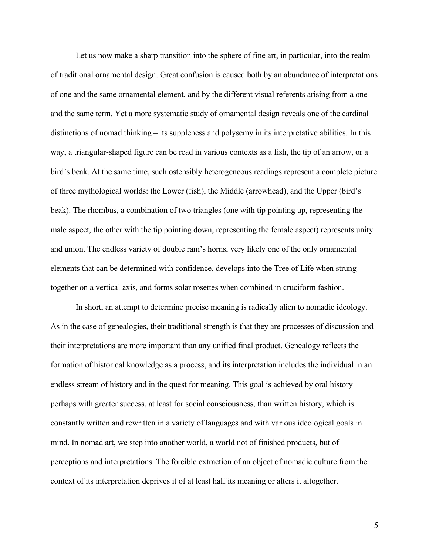Let us now make a sharp transition into the sphere of fine art, in particular, into the realm of traditional ornamental design. Great confusion is caused both by an abundance of interpretations of one and the same ornamental element, and by the different visual referents arising from a one and the same term. Yet a more systematic study of ornamental design reveals one of the cardinal distinctions of nomad thinking – its suppleness and polysemy in its interpretative abilities. In this way, a triangular-shaped figure can be read in various contexts as a fish, the tip of an arrow, or a bird's beak. At the same time, such ostensibly heterogeneous readings represent a complete picture of three mythological worlds: the Lower (fish), the Middle (arrowhead), and the Upper (bird's beak). The rhombus, a combination of two triangles (one with tip pointing up, representing the male aspect, the other with the tip pointing down, representing the female aspect) represents unity and union. The endless variety of double ram's horns, very likely one of the only ornamental elements that can be determined with confidence, develops into the Tree of Life when strung together on a vertical axis, and forms solar rosettes when combined in cruciform fashion.

In short, an attempt to determine precise meaning is radically alien to nomadic ideology. As in the case of genealogies, their traditional strength is that they are processes of discussion and their interpretations are more important than any unified final product. Genealogy reflects the formation of historical knowledge as a process, and its interpretation includes the individual in an endless stream of history and in the quest for meaning. This goal is achieved by oral history perhaps with greater success, at least for social consciousness, than written history, which is constantly written and rewritten in a variety of languages and with various ideological goals in mind. In nomad art, we step into another world, a world not of finished products, but of perceptions and interpretations. The forcible extraction of an object of nomadic culture from the context of its interpretation deprives it of at least half its meaning or alters it altogether.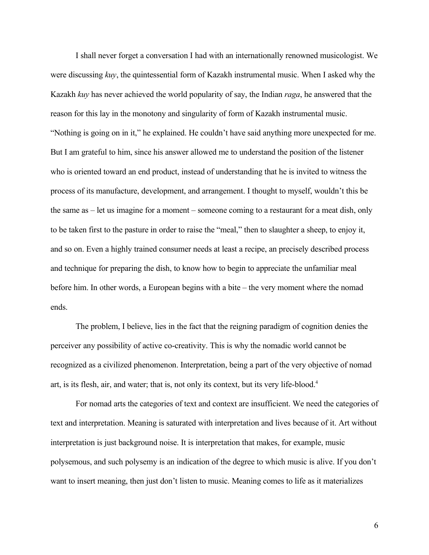I shall never forget a conversation I had with an internationally renowned musicologist. We were discussing *kuy*, the quintessential form of Kazakh instrumental music. When I asked why the Kazakh *kuy* has never achieved the world popularity of say, the Indian *raga*, he answered that the reason for this lay in the monotony and singularity of form of Kazakh instrumental music. "Nothing is going on in it," he explained. He couldn't have said anything more unexpected for me. But I am grateful to him, since his answer allowed me to understand the position of the listener who is oriented toward an end product, instead of understanding that he is invited to witness the process of its manufacture, development, and arrangement. I thought to myself, wouldn't this be the same as – let us imagine for a moment – someone coming to a restaurant for a meat dish, only to be taken first to the pasture in order to raise the "meal," then to slaughter a sheep, to enjoy it, and so on. Even a highly trained consumer needs at least a recipe, an precisely described process and technique for preparing the dish, to know how to begin to appreciate the unfamiliar meal before him. In other words, a European begins with a bite – the very moment where the nomad ends.

The problem, I believe, lies in the fact that the reigning paradigm of cognition denies the perceiver any possibility of active co-creativity. This is why the nomadic world cannot be recognized as a civilized phenomenon. Interpretation, being a part of the very objective of nomad art, is its flesh, air, and water; that is, not only its context, but its very life-blood.[4](#page-9-3)

For nomad arts the categories of text and context are insufficient. We need the categories of text and interpretation. Meaning is saturated with interpretation and lives because of it. Art without interpretation is just background noise. It is interpretation that makes, for example, music polysemous, and such polysemy is an indication of the degree to which music is alive. If you don't want to insert meaning, then just don't listen to music. Meaning comes to life as it materializes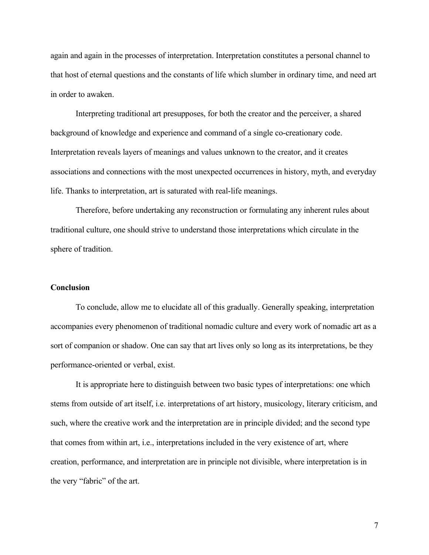again and again in the processes of interpretation. Interpretation constitutes a personal channel to that host of eternal questions and the constants of life which slumber in ordinary time, and need art in order to awaken.

Interpreting traditional art presupposes, for both the creator and the perceiver, a shared background of knowledge and experience and command of a single co-creationary code. Interpretation reveals layers of meanings and values unknown to the creator, and it creates associations and connections with the most unexpected occurrences in history, myth, and everyday life. Thanks to interpretation, art is saturated with real-life meanings.

Therefore, before undertaking any reconstruction or formulating any inherent rules about traditional culture, one should strive to understand those interpretations which circulate in the sphere of tradition.

## **Conclusion**

To conclude, allow me to elucidate all of this gradually. Generally speaking, interpretation accompanies every phenomenon of traditional nomadic culture and every work of nomadic art as a sort of companion or shadow. One can say that art lives only so long as its interpretations, be they performance-oriented or verbal, exist.

It is appropriate here to distinguish between two basic types of interpretations: one which stems from outside of art itself, i.e. interpretations of art history, musicology, literary criticism, and such, where the creative work and the interpretation are in principle divided; and the second type that comes from within art, i.e., interpretations included in the very existence of art, where creation, performance, and interpretation are in principle not divisible, where interpretation is in the very "fabric" of the art.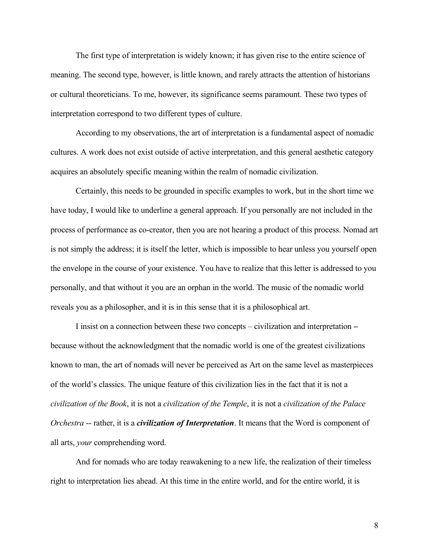The first type of interpretation is widely known; it has given rise to the entire science of meaning. The second type, however, is little known, and rarely attracts the attention of historians or cultural theoreticians. To me, however, its significance seems paramount. These two types of interpretation correspond to two different types of culture.

According to my observations, the art of interpretation is a fundamental aspect of nomadic cultures. A work does not exist outside of active interpretation, and this general aesthetic category acquires an absolutely specific meaning within the realm of nomadic civilization.

Certainly, this needs to be grounded in specific examples to work, but in the short time we have today, I would like to underline a general approach. If you personally are not included in the process of performance as co-creator, then you are not hearing a product of this process. Nomad art is not simply the address; it is itself the letter, which is impossible to hear unless you yourself open the envelope in the course of your existence. You have to realize that this letter is addressed to you personally, and that without it you are an orphan in the world. The music of the nomadic world reveals you as a philosopher, and it is in this sense that it is a philosophical art.

I insist on a connection between these two concepts – civilization and interpretation – because without the acknowledgment that the nomadic world is one of the greatest civilizations known to man, the art of nomads will never be perceived as Art on the same level as masterpieces of the world's classics. The unique feature of this civilization lies in the fact that it is not a *civilization of the Book*, it is not a *civilization of the Temple*, it is not a *civilization of the Palace Orchestra* -- rather, it is a *civilization of Interpretation*. It means that the Word is component of all arts, *your* comprehending word.

And for nomads who are today reawakening to a new life, the realization of their timeless right to interpretation lies ahead. At this time in the entire world, and for the entire world, it is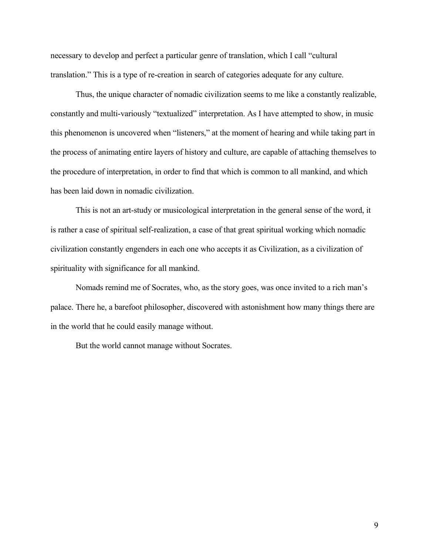necessary to develop and perfect a particular genre of translation, which I call "cultural translation." This is a type of re-creation in search of categories adequate for any culture.

Thus, the unique character of nomadic civilization seems to me like a constantly realizable, constantly and multi-variously "textualized" interpretation. As I have attempted to show, in music this phenomenon is uncovered when "listeners," at the moment of hearing and while taking part in the process of animating entire layers of history and culture, are capable of attaching themselves to the procedure of interpretation, in order to find that which is common to all mankind, and which has been laid down in nomadic civilization.

This is not an art-study or musicological interpretation in the general sense of the word, it is rather a case of spiritual self-realization, a case of that great spiritual working which nomadic civilization constantly engenders in each one who accepts it as Civilization, as a civilization of spirituality with significance for all mankind.

Nomads remind me of Socrates, who, as the story goes, was once invited to a rich man's palace. There he, a barefoot philosopher, discovered with astonishment how many things there are in the world that he could easily manage without.

But the world cannot manage without Socrates.